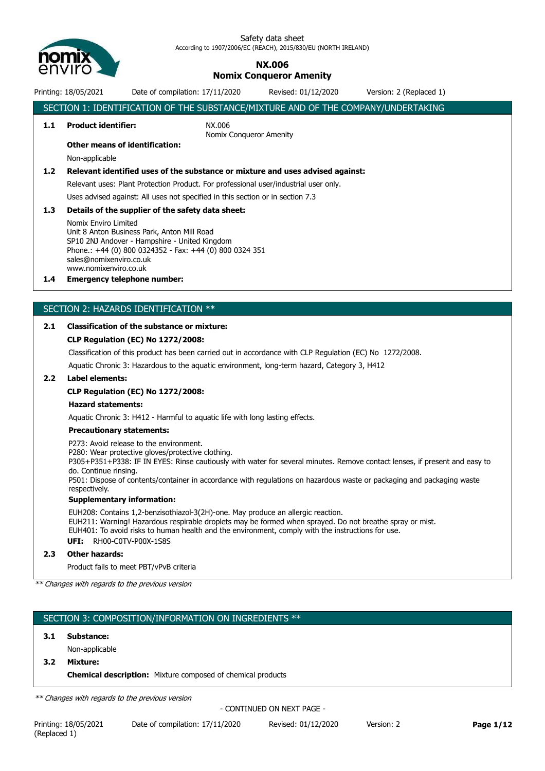

# **NX.006 Nomix Conqueror Amenity**

Printing: 18/05/2021 Date of compilation: 17/11/2020 Revised: 01/12/2020 Version: 2 (Replaced 1)

SECTION 1: IDENTIFICATION OF THE SUBSTANCE/MIXTURE AND OF THE COMPANY/UNDERTAKING **1.1 Product identifier:** NX.006 Nomix Conqueror Amenity **Other means of identification:** Non-applicable **1.2 Relevant identified uses of the substance or mixture and uses advised against:** Relevant uses: Plant Protection Product. For professional user/industrial user only. Uses advised against: All uses not specified in this section or in section 7.3 **1.3 Details of the supplier of the safety data sheet:** Nomix Enviro Limited Unit 8 Anton Business Park, Anton Mill Road SP10 2NJ Andover - Hampshire - United Kingdom Phone.: +44 (0) 800 0324352 - Fax: +44 (0) 800 0324 351 sales@nomixenviro.co.uk www.nomixenviro.co.uk **1.4 Emergency telephone number:** SECTION 2: HAZARDS IDENTIFICATION \*\* **2.1 Classification of the substance or mixture:**

# **CLP Regulation (EC) No 1272/2008:**

Classification of this product has been carried out in accordance with CLP Regulation (EC) No 1272/2008. Aquatic Chronic 3: Hazardous to the aquatic environment, long-term hazard, Category 3, H412

## **2.2 Label elements:**

# **CLP Regulation (EC) No 1272/2008:**

# **Hazard statements:**

Aquatic Chronic 3: H412 - Harmful to aquatic life with long lasting effects.

## **Precautionary statements:**

P273: Avoid release to the environment.

P280: Wear protective gloves/protective clothing.

P305+P351+P338: IF IN EYES: Rinse cautiously with water for several minutes. Remove contact lenses, if present and easy to do. Continue rinsing.

P501: Dispose of contents/container in accordance with regulations on hazardous waste or packaging and packaging waste respectively.

## **Supplementary information:**

EUH208: Contains 1,2-benzisothiazol-3(2H)-one. May produce an allergic reaction.

EUH211: Warning! Hazardous respirable droplets may be formed when sprayed. Do not breathe spray or mist.

EUH401: To avoid risks to human health and the environment, comply with the instructions for use.

**UFI:** RH00-C0TV-P00X-1S8S

## **2.3 Other hazards:**

Product fails to meet PBT/vPvB criteria

*\*\* Changes with regards to the previous version*

# SECTION 3: COMPOSITION/INFORMATION ON INGREDIENTS \*\*

## **3.1 Substance:**

Non-applicable

**3.2 Mixture:**

**Chemical description:** Mixture composed of chemical products

*\*\* Changes with regards to the previous version*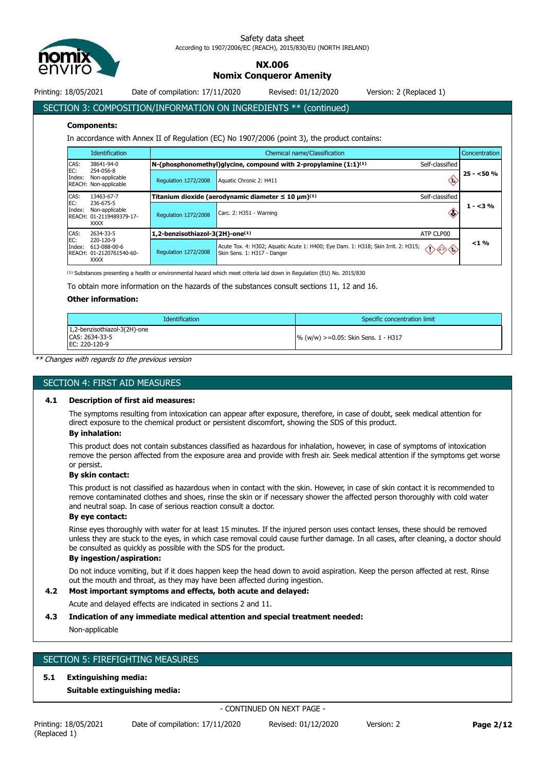

**NX.006**

**Nomix Conqueror Amenity**

Printing: 18/05/2021 Date of compilation: 17/11/2020 Revised: 01/12/2020 Version: 2 (Replaced 1)

SECTION 3: COMPOSITION/INFORMATION ON INGREDIENTS \*\* (continued)

### **Components:**

In accordance with Annex II of Regulation (EC) No 1907/2006 (point 3), the product contains:

|                       | <b>Identification</b>                                                                |                                 | Chemical name/Classification<br>Concentration                                                                                                    |            |  |  |  |  |
|-----------------------|--------------------------------------------------------------------------------------|---------------------------------|--------------------------------------------------------------------------------------------------------------------------------------------------|------------|--|--|--|--|
| CAS:<br>EC:<br>Index: | 38641-94-0                                                                           |                                 | $N$ -(phosphonomethyl)glycine, compound with 2-propylamine $(1:1)^{(1)}$<br>Self-classified                                                      |            |  |  |  |  |
|                       | 254-056-8<br>Non-applicable<br>REACH: Non-applicable                                 | <b>Regulation 1272/2008</b>     | $\langle \cdot \rangle$<br>Aquatic Chronic 2: H411                                                                                               | $25 - 50%$ |  |  |  |  |
| CAS:                  | 13463-67-7<br>236-675-5<br>Non-applicable<br>REACH: 01-2119489379-17-<br><b>XXXX</b> |                                 | Titanium dioxide (aerodynamic diameter $\leq 10 \ \mu m^{(1)}$<br>Self-classified                                                                |            |  |  |  |  |
| EC:<br>Index:         |                                                                                      | <b>Regulation 1272/2008</b>     | Carc. 2: H351 - Warning<br>æ                                                                                                                     | $1 - 3%$   |  |  |  |  |
| CAS:<br>2634-33-5     |                                                                                      | 1,2-benzisothiazol-3(2H)-one(1) | ATP CLP00                                                                                                                                        |            |  |  |  |  |
| EC:<br>Index:         | 220-120-9<br>613-088-00-6<br>REACH: 01-2120761540-60-<br><b>XXXX</b>                 | <b>Regulation 1272/2008</b>     | Acute Tox. 4: H302; Aquatic Acute 1: H400; Eye Dam. 1: H318; Skin Irrit. 2: H315;<br>$\Diamond \Diamond \Diamond$<br>Skin Sens. 1: H317 - Danger | $< 1 \%$   |  |  |  |  |

 $^{(1)}$  Substances presenting a health or environmental hazard which meet criteria laid down in Regulation (EU) No. 2015/830

To obtain more information on the hazards of the substances consult sections 11, 12 and 16.

## **Other information:**

| <b>Identification</b>                                           | Specific concentration limit           |
|-----------------------------------------------------------------|----------------------------------------|
| 1,2-benzisothiazol-3(2H)-one<br>CAS: 2634-33-5<br>EC: 220-120-9 | $\%$ (w/w) >=0.05: Skin Sens. 1 - H317 |

*\*\* Changes with regards to the previous version*

# SECTION 4: FIRST AID MEASURES

#### **4.1 Description of first aid measures:**

The symptoms resulting from intoxication can appear after exposure, therefore, in case of doubt, seek medical attention for direct exposure to the chemical product or persistent discomfort, showing the SDS of this product.

## **By inhalation:**

This product does not contain substances classified as hazardous for inhalation, however, in case of symptoms of intoxication remove the person affected from the exposure area and provide with fresh air. Seek medical attention if the symptoms get worse or persist.

#### **By skin contact:**

This product is not classified as hazardous when in contact with the skin. However, in case of skin contact it is recommended to remove contaminated clothes and shoes, rinse the skin or if necessary shower the affected person thoroughly with cold water and neutral soap. In case of serious reaction consult a doctor.

# **By eye contact:**

Rinse eyes thoroughly with water for at least 15 minutes. If the injured person uses contact lenses, these should be removed unless they are stuck to the eyes, in which case removal could cause further damage. In all cases, after cleaning, a doctor should be consulted as quickly as possible with the SDS for the product.

## **By ingestion/aspiration:**

Do not induce vomiting, but if it does happen keep the head down to avoid aspiration. Keep the person affected at rest. Rinse out the mouth and throat, as they may have been affected during ingestion.

# **4.2 Most important symptoms and effects, both acute and delayed:**

Acute and delayed effects are indicated in sections 2 and 11.

## **4.3 Indication of any immediate medical attention and special treatment needed:**

Non-applicable

# SECTION 5: FIREFIGHTING MEASURES

## **5.1 Extinguishing media:**

**Suitable extinguishing media:**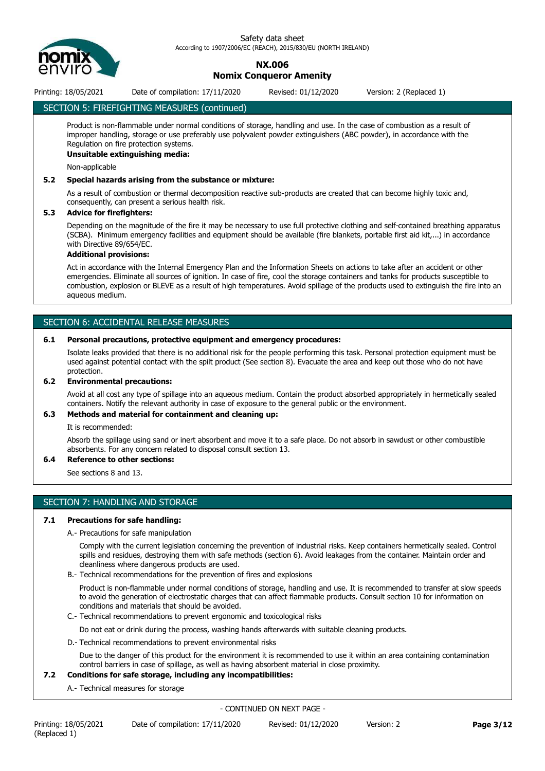

# **NX.006 Nomix Conqueror Amenity**

Printing: 18/05/2021 Date of compilation: 17/11/2020 Revised: 01/12/2020 Version: 2 (Replaced 1)

# SECTION 5: FIREFIGHTING MEASURES (continued)

Product is non-flammable under normal conditions of storage, handling and use. In the case of combustion as a result of improper handling, storage or use preferably use polyvalent powder extinguishers (ABC powder), in accordance with the Regulation on fire protection systems.

# **Unsuitable extinguishing media:**

Non-applicable

# **5.2 Special hazards arising from the substance or mixture:**

As a result of combustion or thermal decomposition reactive sub-products are created that can become highly toxic and, consequently, can present a serious health risk.

# **5.3 Advice for firefighters:**

Depending on the magnitude of the fire it may be necessary to use full protective clothing and self-contained breathing apparatus (SCBA). Minimum emergency facilities and equipment should be available (fire blankets, portable first aid kit,...) in accordance with Directive 89/654/EC.

# **Additional provisions:**

Act in accordance with the Internal Emergency Plan and the Information Sheets on actions to take after an accident or other emergencies. Eliminate all sources of ignition. In case of fire, cool the storage containers and tanks for products susceptible to combustion, explosion or BLEVE as a result of high temperatures. Avoid spillage of the products used to extinguish the fire into an aqueous medium.

# SECTION 6: ACCIDENTAL RELEASE MEASURES

## **6.1 Personal precautions, protective equipment and emergency procedures:**

Isolate leaks provided that there is no additional risk for the people performing this task. Personal protection equipment must be used against potential contact with the spilt product (See section 8). Evacuate the area and keep out those who do not have protection.

# **6.2 Environmental precautions:**

Avoid at all cost any type of spillage into an aqueous medium. Contain the product absorbed appropriately in hermetically sealed containers. Notify the relevant authority in case of exposure to the general public or the environment.

# **6.3 Methods and material for containment and cleaning up:**

It is recommended:

Absorb the spillage using sand or inert absorbent and move it to a safe place. Do not absorb in sawdust or other combustible absorbents. For any concern related to disposal consult section 13.

# **6.4 Reference to other sections:**

See sections 8 and 13.

# SECTION 7: HANDLING AND STORAGE

## **7.1 Precautions for safe handling:**

A.- Precautions for safe manipulation

Comply with the current legislation concerning the prevention of industrial risks. Keep containers hermetically sealed. Control spills and residues, destroying them with safe methods (section 6). Avoid leakages from the container. Maintain order and cleanliness where dangerous products are used.

B.- Technical recommendations for the prevention of fires and explosions

Product is non-flammable under normal conditions of storage, handling and use. It is recommended to transfer at slow speeds to avoid the generation of electrostatic charges that can affect flammable products. Consult section 10 for information on conditions and materials that should be avoided.

C.- Technical recommendations to prevent ergonomic and toxicological risks

Do not eat or drink during the process, washing hands afterwards with suitable cleaning products.

D.- Technical recommendations to prevent environmental risks

Due to the danger of this product for the environment it is recommended to use it within an area containing contamination control barriers in case of spillage, as well as having absorbent material in close proximity.

## **7.2 Conditions for safe storage, including any incompatibilities:**

A.- Technical measures for storage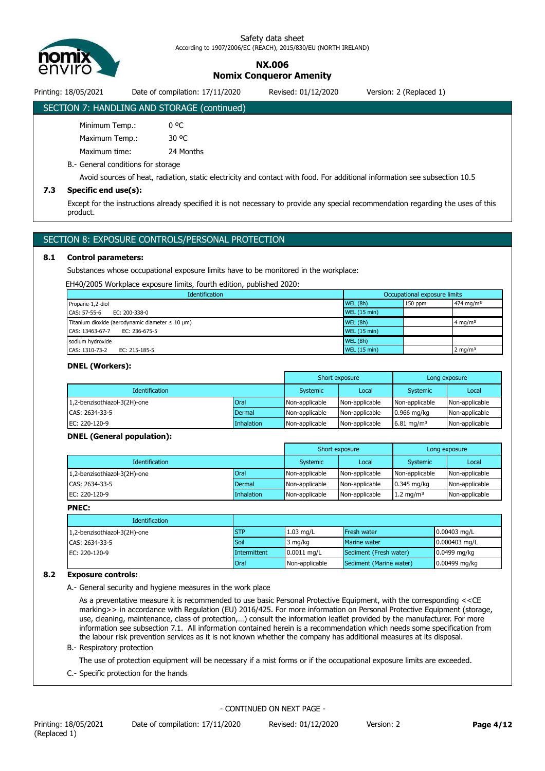

# **NX.006 Nomix Conqueror Amenity**

Printing: 18/05/2021 Date of compilation: 17/11/2020 Revised: 01/12/2020 Version: 2 (Replaced 1)

# SECTION 7: HANDLING AND STORAGE (continued)

| Minimum Temp.: |           |
|----------------|-----------|
| Maximum Temp.: | 30 °C     |
| Maximum time:  | 24 Months |

B.- General conditions for storage

Avoid sources of heat, radiation, static electricity and contact with food. For additional information see subsection 10.5

# **7.3 Specific end use(s):**

Except for the instructions already specified it is not necessary to provide any special recommendation regarding the uses of this product.

# SECTION 8: EXPOSURE CONTROLS/PERSONAL PROTECTION

# **8.1 Control parameters:**

Substances whose occupational exposure limits have to be monitored in the workplace:

EH40/2005 Workplace exposure limits, fourth edition, published 2020:

| <b>Identification</b>                                                  | Occupational exposure limits |         |                       |
|------------------------------------------------------------------------|------------------------------|---------|-----------------------|
| Propane-1,2-diol                                                       | WEL(8h)                      | 150 ppm | 474 mg/m <sup>3</sup> |
| CAS: 57-55-6<br>EC: 200-338-0                                          | <b>WEL (15 min)</b>          |         |                       |
| Titanium dioxide (aerodynamic diameter $\leq 10 \text{ }\mu\text{m}$ ) | <b>WEL (8h)</b>              |         | 4 mg/m <sup>3</sup>   |
| CAS: 13463-67-7<br>EC: 236-675-5                                       | <b>WEL (15 min)</b>          |         |                       |
| sodium hydroxide                                                       | WEL(8h)                      |         |                       |
| CAS: 1310-73-2<br>EC: 215-185-5                                        | <b>WEL (15 min)</b>          |         | $2 \text{ mg/m}^3$    |

### **DNEL (Workers):**

|                              |            | Short exposure |                | Long exposure          |                |
|------------------------------|------------|----------------|----------------|------------------------|----------------|
| <b>Identification</b>        |            | Systemic       | Local          | Systemic               | Local          |
| 1,2-benzisothiazol-3(2H)-one | Oral       | Non-applicable | Non-applicable | Non-applicable         | Non-applicable |
| CAS: 2634-33-5               | Dermal     | Non-applicable | Non-applicable | $0.966$ mg/kg          | Non-applicable |
| EC: 220-120-9                | Inhalation | Non-applicable | Non-applicable | 6.81 mg/m <sup>3</sup> | Non-applicable |

## **DNEL (General population):**

|                              |             | Short exposure |                | Long exposure         |                |
|------------------------------|-------------|----------------|----------------|-----------------------|----------------|
| <b>Identification</b>        |             | Systemic       | Local          | Systemic              | Local          |
| 1,2-benzisothiazol-3(2H)-one | <b>Oral</b> | Non-applicable | Non-applicable | Non-applicable        | Non-applicable |
| CAS: 2634-33-5               | Dermal      | Non-applicable | Non-applicable | $0.345$ mg/kg         | Non-applicable |
| EC: 220-120-9                | Inhalation  | Non-applicable | Non-applicable | 1.2 mg/m <sup>3</sup> | Non-applicable |

## **PNEC:**

| <b>Identification</b>        |              |                |                         |                 |
|------------------------------|--------------|----------------|-------------------------|-----------------|
| 1,2-benzisothiazol-3(2H)-one | <b>STP</b>   | $1.03$ mg/L    | <b>Fresh water</b>      | $0.00403$ mg/L  |
| CAS: 2634-33-5               | Soil         | 3 mg/kg        | Marine water            | $0.000403$ mg/L |
| EC: 220-120-9                | Intermittent | $0.0011$ mg/L  | Sediment (Fresh water)  | $0.0499$ mg/kg  |
|                              | <b>Oral</b>  | Non-applicable | Sediment (Marine water) | $0.00499$ mg/kg |

# **8.2 Exposure controls:**

A.- General security and hygiene measures in the work place

As a preventative measure it is recommended to use basic Personal Protective Equipment, with the corresponding <<CE marking>> in accordance with Regulation (EU) 2016/425. For more information on Personal Protective Equipment (storage, use, cleaning, maintenance, class of protection,…) consult the information leaflet provided by the manufacturer. For more information see subsection 7.1. All information contained herein is a recommendation which needs some specification from the labour risk prevention services as it is not known whether the company has additional measures at its disposal.

# B.- Respiratory protection

The use of protection equipment will be necessary if a mist forms or if the occupational exposure limits are exceeded.

C.- Specific protection for the hands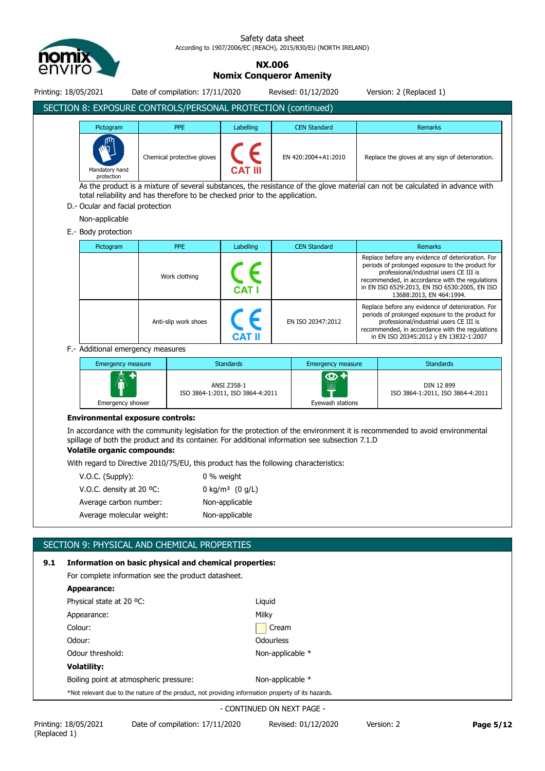

**NX.006**

**Nomix Conqueror Amenity**

| Printing: 18/05/2021                                                                                                                                                                                                                            |                                                                                                                                                                                                                                                                      | Date of compilation: 17/11/2020 |                                                 |                   | Revised: 01/12/2020      |                                                                                                                                                                                                                                               | Version: 2 (Replaced 1)                                                                                                                                                                                                     |
|-------------------------------------------------------------------------------------------------------------------------------------------------------------------------------------------------------------------------------------------------|----------------------------------------------------------------------------------------------------------------------------------------------------------------------------------------------------------------------------------------------------------------------|---------------------------------|-------------------------------------------------|-------------------|--------------------------|-----------------------------------------------------------------------------------------------------------------------------------------------------------------------------------------------------------------------------------------------|-----------------------------------------------------------------------------------------------------------------------------------------------------------------------------------------------------------------------------|
| SECTION 8: EXPOSURE CONTROLS/PERSONAL PROTECTION (continued)                                                                                                                                                                                    |                                                                                                                                                                                                                                                                      |                                 |                                                 |                   |                          |                                                                                                                                                                                                                                               |                                                                                                                                                                                                                             |
| Pictogram<br>Mandatory hand<br>protection                                                                                                                                                                                                       |                                                                                                                                                                                                                                                                      | <b>PPE</b>                      | Labelling                                       |                   | <b>CEN Standard</b>      |                                                                                                                                                                                                                                               | <b>Remarks</b>                                                                                                                                                                                                              |
|                                                                                                                                                                                                                                                 |                                                                                                                                                                                                                                                                      | Chemical protective gloves      | CAT                                             |                   | EN 420:2004+A1:2010      |                                                                                                                                                                                                                                               | Replace the gloves at any sign of deterioration.                                                                                                                                                                            |
| As the product is a mixture of several substances, the resistance of the glove material can not be calculated in advance with<br>total reliability and has therefore to be checked prior to the application.<br>D. Ocular and facial protection |                                                                                                                                                                                                                                                                      |                                 |                                                 |                   |                          |                                                                                                                                                                                                                                               |                                                                                                                                                                                                                             |
| Non-applicable                                                                                                                                                                                                                                  |                                                                                                                                                                                                                                                                      |                                 |                                                 |                   |                          |                                                                                                                                                                                                                                               |                                                                                                                                                                                                                             |
| E.- Body protection                                                                                                                                                                                                                             |                                                                                                                                                                                                                                                                      | <b>PPE</b>                      |                                                 |                   |                          |                                                                                                                                                                                                                                               |                                                                                                                                                                                                                             |
| Pictogram                                                                                                                                                                                                                                       |                                                                                                                                                                                                                                                                      |                                 | Labelling                                       |                   | <b>CEN Standard</b>      |                                                                                                                                                                                                                                               | <b>Remarks</b><br>Replace before any evidence of deterioration. For                                                                                                                                                         |
|                                                                                                                                                                                                                                                 | Work clothing                                                                                                                                                                                                                                                        |                                 |                                                 |                   |                          |                                                                                                                                                                                                                                               | periods of prolonged exposure to the product for<br>professional/industrial users CE III is<br>recommended, in accordance with the regulations<br>in EN ISO 6529:2013, EN ISO 6530:2005, EN ISO<br>13688:2013, EN 464:1994. |
|                                                                                                                                                                                                                                                 |                                                                                                                                                                                                                                                                      | Anti-slip work shoes            |                                                 | EN ISO 20347:2012 |                          | Replace before any evidence of deterioration. For<br>periods of prolonged exposure to the product for<br>professional/industrial users CE III is<br>recommended, in accordance with the regulations<br>in EN ISO 20345:2012 y EN 13832-1:2007 |                                                                                                                                                                                                                             |
| F.- Additional emergency measures                                                                                                                                                                                                               |                                                                                                                                                                                                                                                                      |                                 |                                                 |                   |                          |                                                                                                                                                                                                                                               |                                                                                                                                                                                                                             |
|                                                                                                                                                                                                                                                 | <b>Emergency measure</b>                                                                                                                                                                                                                                             |                                 | <b>Standards</b>                                |                   | <b>Emergency measure</b> |                                                                                                                                                                                                                                               | <b>Standards</b>                                                                                                                                                                                                            |
|                                                                                                                                                                                                                                                 | Emergency shower                                                                                                                                                                                                                                                     |                                 | ANSI Z358-1<br>ISO 3864-1:2011, ISO 3864-4:2011 |                   | Eyewash stations         |                                                                                                                                                                                                                                               | DIN 12 899<br>ISO 3864-1:2011, ISO 3864-4:2011                                                                                                                                                                              |
| <b>Environmental exposure controls:</b>                                                                                                                                                                                                         |                                                                                                                                                                                                                                                                      |                                 |                                                 |                   |                          |                                                                                                                                                                                                                                               |                                                                                                                                                                                                                             |
|                                                                                                                                                                                                                                                 | In accordance with the community legislation for the protection of the environment it is recommended to avoid environmental<br>spillage of both the product and its container. For additional information see subsection 7.1.D<br><b>Volatile organic compounds:</b> |                                 |                                                 |                   |                          |                                                                                                                                                                                                                                               |                                                                                                                                                                                                                             |
|                                                                                                                                                                                                                                                 | With regard to Directive 2010/75/EU, this product has the following characteristics:                                                                                                                                                                                 |                                 |                                                 |                   |                          |                                                                                                                                                                                                                                               |                                                                                                                                                                                                                             |
| V.O.C. (Supply):                                                                                                                                                                                                                                |                                                                                                                                                                                                                                                                      |                                 | 0 % weight                                      |                   |                          |                                                                                                                                                                                                                                               |                                                                                                                                                                                                                             |
| V.O.C. density at 20 °C:                                                                                                                                                                                                                        |                                                                                                                                                                                                                                                                      |                                 | 0 kg/m <sup>3</sup> $(0 g/L)$                   |                   |                          |                                                                                                                                                                                                                                               |                                                                                                                                                                                                                             |
| Average carbon number:                                                                                                                                                                                                                          |                                                                                                                                                                                                                                                                      |                                 | Non-applicable                                  |                   |                          |                                                                                                                                                                                                                                               |                                                                                                                                                                                                                             |
|                                                                                                                                                                                                                                                 | Average molecular weight:                                                                                                                                                                                                                                            |                                 | Non-applicable                                  |                   |                          |                                                                                                                                                                                                                                               |                                                                                                                                                                                                                             |
|                                                                                                                                                                                                                                                 |                                                                                                                                                                                                                                                                      |                                 |                                                 |                   |                          |                                                                                                                                                                                                                                               |                                                                                                                                                                                                                             |

# SECTION 9: PHYSICAL AND CHEMICAL PROPERTIES

| 9.1 | Information on basic physical and chemical properties:                                             |                  |  |  |  |
|-----|----------------------------------------------------------------------------------------------------|------------------|--|--|--|
|     | For complete information see the product datasheet.                                                |                  |  |  |  |
|     | Appearance:                                                                                        |                  |  |  |  |
|     | Physical state at 20 °C:                                                                           | Liguid           |  |  |  |
|     | Appearance:                                                                                        | Milky            |  |  |  |
|     | Colour:                                                                                            | Cream            |  |  |  |
|     | Odour:                                                                                             | Odourless        |  |  |  |
|     | Odour threshold:                                                                                   | Non-applicable * |  |  |  |
|     | <b>Volatility:</b>                                                                                 |                  |  |  |  |
|     | Boiling point at atmospheric pressure:                                                             | Non-applicable * |  |  |  |
|     | *Not relevant due to the nature of the product, not providing information property of its hazards. |                  |  |  |  |
|     |                                                                                                    |                  |  |  |  |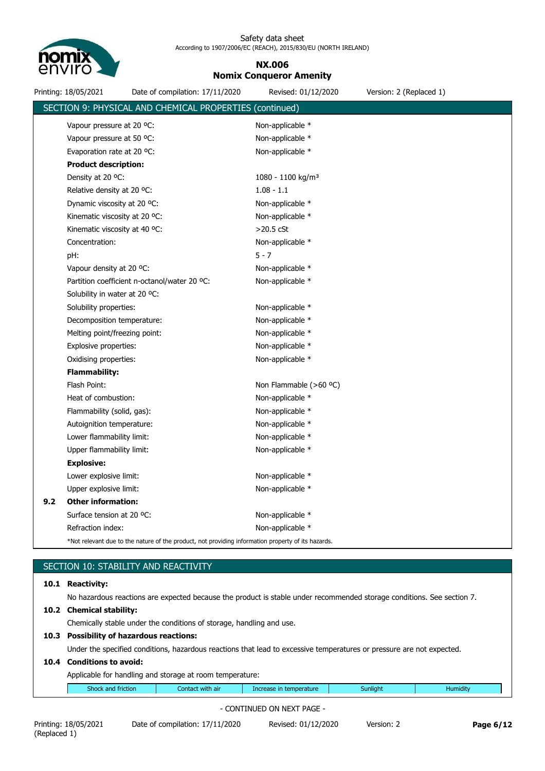

# **NX.006 Nomix Conqueror Amenity**

| Printing: 18/05/2021<br>Date of compilation: 17/11/2020                                            | Revised: 01/12/2020             | Version: 2 (Replaced 1) |
|----------------------------------------------------------------------------------------------------|---------------------------------|-------------------------|
| SECTION 9: PHYSICAL AND CHEMICAL PROPERTIES (continued)                                            |                                 |                         |
| Vapour pressure at 20 °C:                                                                          | Non-applicable *                |                         |
| Vapour pressure at 50 °C:                                                                          | Non-applicable *                |                         |
| Evaporation rate at 20 °C:                                                                         | Non-applicable *                |                         |
| <b>Product description:</b>                                                                        |                                 |                         |
| Density at 20 °C:                                                                                  | $1080 - 1100$ kg/m <sup>3</sup> |                         |
| Relative density at 20 °C.                                                                         | $1.08 - 1.1$                    |                         |
| Dynamic viscosity at 20 °C:                                                                        | Non-applicable *                |                         |
| Kinematic viscosity at 20 °C:                                                                      | Non-applicable *                |                         |
| Kinematic viscosity at 40 °C:                                                                      | $>20.5$ cSt                     |                         |
| Concentration:                                                                                     | Non-applicable *                |                         |
| pH:                                                                                                | $5 - 7$                         |                         |
| Vapour density at 20 °C:                                                                           | Non-applicable *                |                         |
| Partition coefficient n-octanol/water 20 °C:                                                       | Non-applicable *                |                         |
| Solubility in water at 20 °C:                                                                      |                                 |                         |
| Solubility properties:                                                                             | Non-applicable *                |                         |
| Decomposition temperature:                                                                         | Non-applicable *                |                         |
| Melting point/freezing point:                                                                      | Non-applicable *                |                         |
| Explosive properties:                                                                              | Non-applicable *                |                         |
| Oxidising properties:                                                                              | Non-applicable *                |                         |
| Flammability:                                                                                      |                                 |                         |
| Flash Point:                                                                                       | Non Flammable $(>60$ °C)        |                         |
| Heat of combustion:                                                                                | Non-applicable *                |                         |
| Flammability (solid, gas):                                                                         | Non-applicable *                |                         |
| Autoignition temperature:                                                                          | Non-applicable *                |                         |
| Lower flammability limit:                                                                          | Non-applicable *                |                         |
| Upper flammability limit:                                                                          | Non-applicable *                |                         |
| <b>Explosive:</b>                                                                                  |                                 |                         |
| Lower explosive limit:                                                                             | Non-applicable *                |                         |
| Upper explosive limit:                                                                             | Non-applicable *                |                         |
| <b>Other information:</b><br>9.2                                                                   |                                 |                         |
| Surface tension at 20 °C:                                                                          | Non-applicable *                |                         |
| Refraction index:                                                                                  | Non-applicable *                |                         |
| *Not relevant due to the nature of the product, not providing information property of its hazards. |                                 |                         |

|      | SECTION 10: STABILITY AND REACTIVITY                                                                                   |  |  |  |  |  |  |  |  |
|------|------------------------------------------------------------------------------------------------------------------------|--|--|--|--|--|--|--|--|
| 10.1 | <b>Reactivity:</b>                                                                                                     |  |  |  |  |  |  |  |  |
|      | No hazardous reactions are expected because the product is stable under recommended storage conditions. See section 7. |  |  |  |  |  |  |  |  |
|      | 10.2 Chemical stability:                                                                                               |  |  |  |  |  |  |  |  |
|      | Chemically stable under the conditions of storage, handling and use.                                                   |  |  |  |  |  |  |  |  |
|      | 10.3 Possibility of hazardous reactions:                                                                               |  |  |  |  |  |  |  |  |
|      | Under the specified conditions, hazardous reactions that lead to excessive temperatures or pressure are not expected.  |  |  |  |  |  |  |  |  |
|      | <b>Conditions to avoid:</b><br>10.4                                                                                    |  |  |  |  |  |  |  |  |
|      | Applicable for handling and storage at room temperature:                                                               |  |  |  |  |  |  |  |  |
|      | Shock and friction<br>Sunlight<br>Contact with air<br>Increase in temperature<br><b>Humidity</b>                       |  |  |  |  |  |  |  |  |
|      |                                                                                                                        |  |  |  |  |  |  |  |  |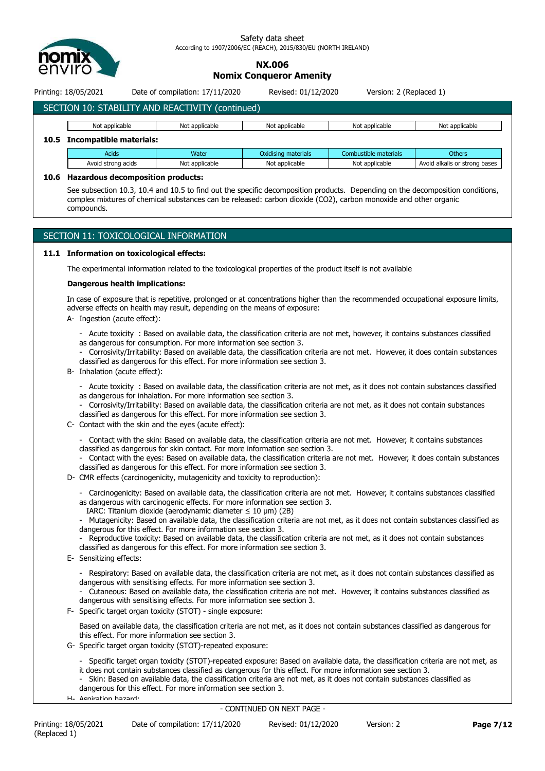

# **NX.006 Nomix Conqueror Amenity**

Printing: 18/05/2021 Date of compilation: 17/11/2020 Revised: 01/12/2020 Version: 2 (Replaced 1)

# SECTION 10: STABILITY AND REACTIVITY (continued) Not applicable Not applicable Not applicable Not applicable Not applicable Not applicable Not applicable **10.5 Incompatible materials:**

| Acids              | Water          | Oxidising materials | Combustible materials | <b>Others</b>                 |  |  |  |  |
|--------------------|----------------|---------------------|-----------------------|-------------------------------|--|--|--|--|
| Avoid strong acids | Not applicable | Not applicable      | Not applicable        | Avoid alkalis or strong bases |  |  |  |  |
|                    |                |                     |                       |                               |  |  |  |  |

# **10.6 Hazardous decomposition products:**

See subsection 10.3, 10.4 and 10.5 to find out the specific decomposition products. Depending on the decomposition conditions, complex mixtures of chemical substances can be released: carbon dioxide (CO2), carbon monoxide and other organic compounds.

# SECTION 11: TOXICOLOGICAL INFORMATION

# **11.1 Information on toxicological effects:**

The experimental information related to the toxicological properties of the product itself is not available

# **Dangerous health implications:**

In case of exposure that is repetitive, prolonged or at concentrations higher than the recommended occupational exposure limits, adverse effects on health may result, depending on the means of exposure:

- A- Ingestion (acute effect):
	- Acute toxicity : Based on available data, the classification criteria are not met, however, it contains substances classified as dangerous for consumption. For more information see section 3.

- Corrosivity/Irritability: Based on available data, the classification criteria are not met. However, it does contain substances classified as dangerous for this effect. For more information see section 3.

B- Inhalation (acute effect):

- Acute toxicity : Based on available data, the classification criteria are not met, as it does not contain substances classified as dangerous for inhalation. For more information see section 3.

- Corrosivity/Irritability: Based on available data, the classification criteria are not met, as it does not contain substances classified as dangerous for this effect. For more information see section 3.
- C- Contact with the skin and the eyes (acute effect):
	- Contact with the skin: Based on available data, the classification criteria are not met. However, it contains substances classified as dangerous for skin contact. For more information see section 3.
	- Contact with the eyes: Based on available data, the classification criteria are not met. However, it does contain substances classified as dangerous for this effect. For more information see section 3.
- D- CMR effects (carcinogenicity, mutagenicity and toxicity to reproduction):
	- Carcinogenicity: Based on available data, the classification criteria are not met. However, it contains substances classified as dangerous with carcinogenic effects. For more information see section 3.
	- IARC: Titanium dioxide (aerodynamic diameter  $\leq 10$  µm) (2B)

Mutagenicity: Based on available data, the classification criteria are not met, as it does not contain substances classified as dangerous for this effect. For more information see section 3.

Reproductive toxicity: Based on available data, the classification criteria are not met, as it does not contain substances classified as dangerous for this effect. For more information see section 3.

- E- Sensitizing effects:
	- Respiratory: Based on available data, the classification criteria are not met, as it does not contain substances classified as dangerous with sensitising effects. For more information see section 3.
	- Cutaneous: Based on available data, the classification criteria are not met. However, it contains substances classified as dangerous with sensitising effects. For more information see section 3.
- F- Specific target organ toxicity (STOT) single exposure:

Based on available data, the classification criteria are not met, as it does not contain substances classified as dangerous for this effect. For more information see section 3.

G- Specific target organ toxicity (STOT)-repeated exposure:

- Specific target organ toxicity (STOT)-repeated exposure: Based on available data, the classification criteria are not met, as it does not contain substances classified as dangerous for this effect. For more information see section 3.

- Skin: Based on available data, the classification criteria are not met, as it does not contain substances classified as dangerous for this effect. For more information see section 3.

H- Aspiration hazard: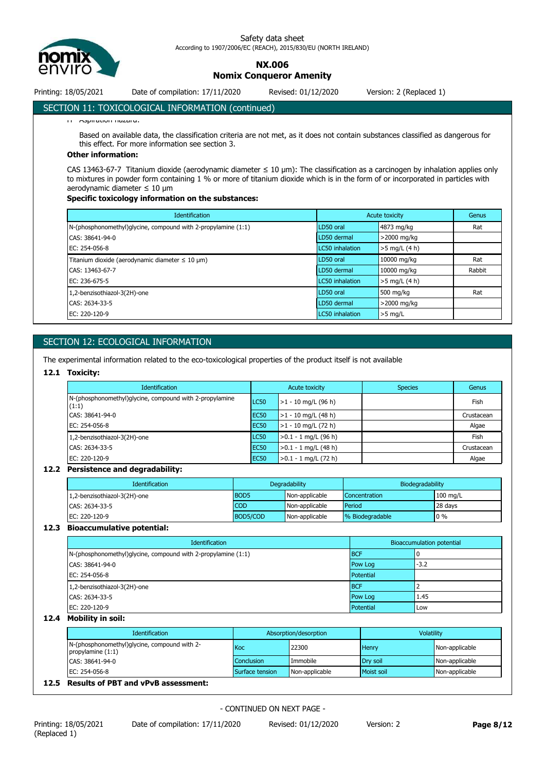

**NX.006**

**Nomix Conqueror Amenity**

Printing: 18/05/2021 Date of compilation: 17/11/2020 Revised: 01/12/2020 Version: 2 (Replaced 1)

# SECTION 11: TOXICOLOGICAL INFORMATION (continued)

H- Aspiration hazard:

Based on available data, the classification criteria are not met, as it does not contain substances classified as dangerous for this effect. For more information see section 3.

# **Other information:**

CAS 13463-67-7 Titanium dioxide (aerodynamic diameter ≤ 10 μm): The classification as a carcinogen by inhalation applies only to mixtures in powder form containing 1 % or more of titanium dioxide which is in the form of or incorporated in particles with aerodynamic diameter ≤ 10 μm

# **Specific toxicology information on the substances:**

| <b>Identification</b>                                                  | Acute toxicity         |                 | Genus  |
|------------------------------------------------------------------------|------------------------|-----------------|--------|
| $N$ -(phosphonomethyl)glycine, compound with 2-propylamine $(1:1)$     | LD50 oral              | 4873 mg/kg      | Rat    |
| CAS: 38641-94-0                                                        | LD50 dermal            | >2000 mg/kg     |        |
| EC: 254-056-8                                                          | <b>LC50</b> inhalation | $>5$ mg/L (4 h) |        |
| Titanium dioxide (aerodynamic diameter $\leq 10 \text{ }\mu\text{m}$ ) | LD50 oral              | 10000 mg/kg     | Rat    |
| CAS: 13463-67-7                                                        | LD50 dermal            | 10000 mg/kg     | Rabbit |
| EC: 236-675-5                                                          | <b>LC50</b> inhalation | $>5$ mg/L (4 h) |        |
| 1,2-benzisothiazol-3(2H)-one                                           | LD50 oral              | 500 mg/kg       | Rat    |
| CAS: 2634-33-5                                                         | LD50 dermal            | >2000 mg/kg     |        |
| EC: 220-120-9                                                          | <b>LC50</b> inhalation | $>5$ mg/L       |        |

# SECTION 12: ECOLOGICAL INFORMATION

The experimental information related to the eco-toxicological properties of the product itself is not available

# **12.1 Toxicity:**

| <b>Identification</b>                                            |                  | Acute toxicity         | <b>Species</b> | Genus      |
|------------------------------------------------------------------|------------------|------------------------|----------------|------------|
| N-(phosphonomethyl)glycine, compound with 2-propylamine<br>(1:1) | LC50             | $>1 - 10$ mg/L (96 h)  |                | Fish       |
| CAS: 38641-94-0                                                  | EC <sub>50</sub> | $>1 - 10$ mg/L (48 h)  |                | Crustacean |
| EC: 254-056-8                                                    | EC <sub>50</sub> | $>1 - 10$ mg/L (72 h)  |                | Algae      |
| 1,2-benzisothiazol-3(2H)-one                                     | LC50             | $>0.1 - 1$ mg/L (96 h) |                | Fish       |
| CAS: 2634-33-5                                                   | EC <sub>50</sub> | $>0.1 - 1$ mg/L (48 h) |                | Crustacean |
| EC: 220-120-9                                                    | EC <sub>50</sub> | $>0.1 - 1$ mg/L (72 h) |                | Algae      |

# **12.2 Persistence and degradability:**

| <b>Identification</b>        | Degradability |                | Biodegradability     |            |
|------------------------------|---------------|----------------|----------------------|------------|
| 1,2-benzisothiazol-3(2H)-one | <b>BOD5</b>   | Non-applicable | <b>Concentration</b> | $100$ mg/L |
| CAS: 2634-33-5               | <b>COD</b>    | Non-applicable | Period               | 28 days    |
| EC: 220-120-9                | BOD5/COD      | Non-applicable | % Biodegradable      | $0\%$      |

#### **12.3 Bioaccumulative potential:**

| Identification                                                     | <b>Bioaccumulation potential</b> |        |
|--------------------------------------------------------------------|----------------------------------|--------|
| $N$ -(phosphonomethyl)glycine, compound with 2-propylamine $(1:1)$ | <b>BCF</b>                       |        |
| CAS: 38641-94-0                                                    | Pow Log                          | $-3.2$ |
| EC: 254-056-8                                                      | Potential                        |        |
| 1,2-benzisothiazol-3(2H)-one                                       | <b>BCF</b>                       |        |
| CAS: 2634-33-5                                                     | Pow Log                          | 1.45   |
| EC: 220-120-9                                                      | Potential                        | Low    |

### **12.4 Mobility in soil:**

| Identification                                                      | Absorption/desorption |                | Volatility   |                |
|---------------------------------------------------------------------|-----------------------|----------------|--------------|----------------|
| N-(phosphonomethyl)glycine, compound with 2-<br>propylamine $(1:1)$ | Koc                   | 22300          | <b>Henry</b> | Non-applicable |
| CAS: 38641-94-0                                                     | <b>Conclusion</b>     | Immobile       | Drv soil     | Non-applicable |
| EC: 254-056-8                                                       | Surface tension       | Non-applicable | Moist soil   | Non-applicable |
| 12.5 Results of PBT and vPvB assessment:                            |                       |                |              |                |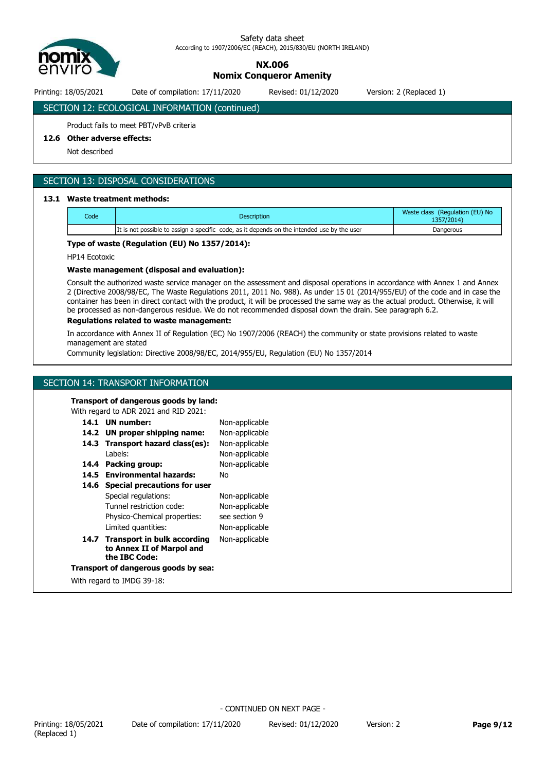

**NX.006**

**Nomix Conqueror Amenity**

Printing: 18/05/2021 Date of compilation: 17/11/2020 Revised: 01/12/2020 Version: 2 (Replaced 1)

# SECTION 12: ECOLOGICAL INFORMATION (continued)

# Product fails to meet PBT/vPvB criteria

# **12.6 Other adverse effects:**

Not described

# SECTION 13: DISPOSAL CONSIDERATIONS

### **13.1 Waste treatment methods:**

| Code | <b>Description</b>                                                                          | Waste class (Regulation (EU) No<br>1357/2014) |
|------|---------------------------------------------------------------------------------------------|-----------------------------------------------|
|      | It is not possible to assign a specific code, as it depends on the intended use by the user | Dangerous                                     |

### **Type of waste (Regulation (EU) No 1357/2014):**

HP14 Ecotoxic

### **Waste management (disposal and evaluation):**

Consult the authorized waste service manager on the assessment and disposal operations in accordance with Annex 1 and Annex 2 (Directive 2008/98/EC, The Waste Regulations 2011, 2011 No. 988). As under 15 01 (2014/955/EU) of the code and in case the container has been in direct contact with the product, it will be processed the same way as the actual product. Otherwise, it will be processed as non-dangerous residue. We do not recommended disposal down the drain. See paragraph 6.2.

### **Regulations related to waste management:**

In accordance with Annex II of Regulation (EC) No 1907/2006 (REACH) the community or state provisions related to waste management are stated

Community legislation: Directive 2008/98/EC, 2014/955/EU, Regulation (EU) No 1357/2014

Non-applicable

# SECTION 14: TRANSPORT INFORMATION

#### **Transport of dangerous goods by land:**

With regard to ADR 2021 and RID 2021:

# **14.1 UN number:**

|      | 14.2 UN proper shipping name:                                                  | Non-applicable |
|------|--------------------------------------------------------------------------------|----------------|
|      | 14.3 Transport hazard class(es):                                               | Non-applicable |
|      | Labels:                                                                        | Non-applicable |
| 14.4 | Packing group:                                                                 | Non-applicable |
|      | 14.5 Environmental hazards:                                                    | No             |
| 14.6 | <b>Special precautions for user</b>                                            |                |
|      | Special regulations:                                                           | Non-applicable |
|      | Tunnel restriction code:                                                       | Non-applicable |
|      | Physico-Chemical properties:                                                   | see section 9  |
|      | Limited quantities:                                                            | Non-applicable |
|      | 14.7 Transport in bulk according<br>to Annex II of Marpol and<br>the IBC Code: | Non-applicable |
|      | Transport of dangerous goods by sea:                                           |                |
|      |                                                                                |                |

With regard to IMDG 39-18: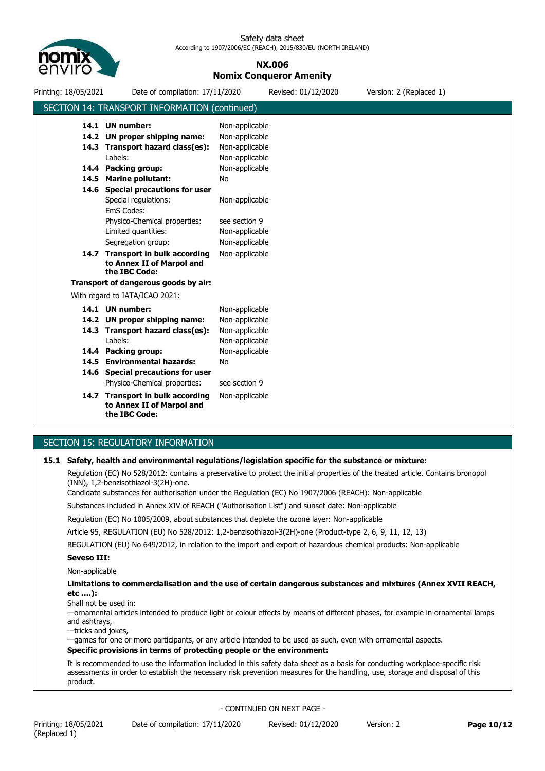

# **NX.006 Nomix Conqueror Amenity**

| Printing: 18/05/2021 | Date of compilation: 17/11/2020                                                |                | Revised: 01/12/2020 | Version: 2 (Replaced 1) |  |
|----------------------|--------------------------------------------------------------------------------|----------------|---------------------|-------------------------|--|
|                      | SECTION 14: TRANSPORT INFORMATION (continued)                                  |                |                     |                         |  |
|                      | 14.1 UN number:                                                                | Non-applicable |                     |                         |  |
|                      | 14.2 UN proper shipping name:                                                  | Non-applicable |                     |                         |  |
|                      | 14.3 Transport hazard class(es):                                               | Non-applicable |                     |                         |  |
|                      | Labels:                                                                        | Non-applicable |                     |                         |  |
|                      | 14.4 Packing group:                                                            | Non-applicable |                     |                         |  |
|                      | 14.5 Marine pollutant:                                                         | No             |                     |                         |  |
|                      | 14.6 Special precautions for user                                              |                |                     |                         |  |
|                      | Special regulations:                                                           | Non-applicable |                     |                         |  |
|                      | EmS Codes:                                                                     |                |                     |                         |  |
|                      | Physico-Chemical properties:                                                   | see section 9  |                     |                         |  |
|                      | Limited quantities:                                                            | Non-applicable |                     |                         |  |
|                      | Segregation group:                                                             | Non-applicable |                     |                         |  |
|                      | 14.7 Transport in bulk according<br>to Annex II of Marpol and<br>the IBC Code: | Non-applicable |                     |                         |  |
|                      | Transport of dangerous goods by air:                                           |                |                     |                         |  |
|                      | With regard to IATA/ICAO 2021:                                                 |                |                     |                         |  |
|                      | 14.1 UN number:                                                                | Non-applicable |                     |                         |  |
|                      | 14.2 UN proper shipping name:                                                  | Non-applicable |                     |                         |  |
|                      | 14.3 Transport hazard class(es):                                               | Non-applicable |                     |                         |  |
|                      | Labels:                                                                        | Non-applicable |                     |                         |  |
|                      | 14.4 Packing group:                                                            | Non-applicable |                     |                         |  |
|                      | 14.5 Environmental hazards:                                                    | No             |                     |                         |  |
|                      | 14.6 Special precautions for user                                              |                |                     |                         |  |
|                      | Physico-Chemical properties:                                                   | see section 9  |                     |                         |  |
|                      | 14.7 Transport in bulk according<br>to Annex II of Marpol and<br>the IBC Code: | Non-applicable |                     |                         |  |

# SECTION 15: REGULATORY INFORMATION

## **15.1 Safety, health and environmental regulations/legislation specific for the substance or mixture:**

Regulation (EC) No 528/2012: contains a preservative to protect the initial properties of the treated article. Contains bronopol (INN), 1,2-benzisothiazol-3(2H)-one.

Candidate substances for authorisation under the Regulation (EC) No 1907/2006 (REACH): Non-applicable

Substances included in Annex XIV of REACH ("Authorisation List") and sunset date: Non-applicable

Regulation (EC) No 1005/2009, about substances that deplete the ozone layer: Non-applicable

Article 95, REGULATION (EU) No 528/2012: 1,2-benzisothiazol-3(2H)-one (Product-type 2, 6, 9, 11, 12, 13)

REGULATION (EU) No 649/2012, in relation to the import and export of hazardous chemical products: Non-applicable

# **Seveso III:**

Non-applicable

**Limitations to commercialisation and the use of certain dangerous substances and mixtures (Annex XVII REACH, etc ….):**

Shall not be used in:

—ornamental articles intended to produce light or colour effects by means of different phases, for example in ornamental lamps and ashtrays,

—tricks and jokes,

—games for one or more participants, or any article intended to be used as such, even with ornamental aspects. **Specific provisions in terms of protecting people or the environment:**

It is recommended to use the information included in this safety data sheet as a basis for conducting workplace-specific risk assessments in order to establish the necessary risk prevention measures for the handling, use, storage and disposal of this product.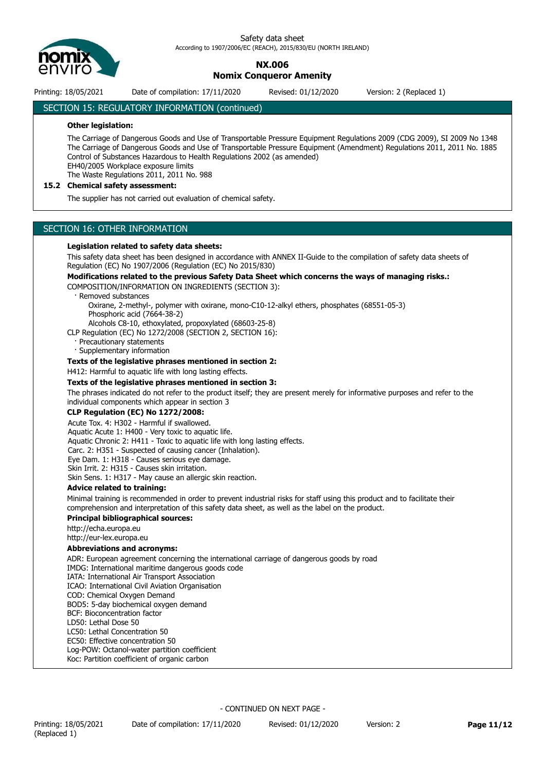

**NX.006**

**Nomix Conqueror Amenity**

Printing: 18/05/2021 Date of compilation: 17/11/2020 Revised: 01/12/2020 Version: 2 (Replaced 1)

# SECTION 15: REGULATORY INFORMATION (continued)

### **Other legislation:**

The Carriage of Dangerous Goods and Use of Transportable Pressure Equipment Regulations 2009 (CDG 2009), SI 2009 No 1348 The Carriage of Dangerous Goods and Use of Transportable Pressure Equipment (Amendment) Regulations 2011, 2011 No. 1885 Control of Substances Hazardous to Health Regulations 2002 (as amended) EH40/2005 Workplace exposure limits The Waste Regulations 2011, 2011 No. 988

### **15.2 Chemical safety assessment:**

The supplier has not carried out evaluation of chemical safety.

## SECTION 16: OTHER INFORMATION

### **Legislation related to safety data sheets:**

This safety data sheet has been designed in accordance with ANNEX II-Guide to the compilation of safety data sheets of Regulation (EC) No 1907/2006 (Regulation (EC) No 2015/830)

#### **Modifications related to the previous Safety Data Sheet which concerns the ways of managing risks.:**

COMPOSITION/INFORMATION ON INGREDIENTS (SECTION 3):

Removed substances

 Oxirane, 2-methyl-, polymer with oxirane, mono-C10-12-alkyl ethers, phosphates (68551-05-3) Phosphoric acid (7664-38-2)

Alcohols C8-10, ethoxylated, propoxylated (68603-25-8)

CLP Regulation (EC) No 1272/2008 (SECTION 2, SECTION 16):

Precautionary statements

· Supplementary information

#### **Texts of the legislative phrases mentioned in section 2:**

H412: Harmful to aquatic life with long lasting effects.

#### **Texts of the legislative phrases mentioned in section 3:**

The phrases indicated do not refer to the product itself; they are present merely for informative purposes and refer to the individual components which appear in section 3

#### **CLP Regulation (EC) No 1272/2008:**

Acute Tox. 4: H302 - Harmful if swallowed.

Aquatic Acute 1: H400 - Very toxic to aquatic life.

Aquatic Chronic 2: H411 - Toxic to aquatic life with long lasting effects.

Carc. 2: H351 - Suspected of causing cancer (Inhalation).

Eye Dam. 1: H318 - Causes serious eye damage.

Skin Irrit. 2: H315 - Causes skin irritation.

Skin Sens. 1: H317 - May cause an allergic skin reaction.

#### **Advice related to training:**

Minimal training is recommended in order to prevent industrial risks for staff using this product and to facilitate their comprehension and interpretation of this safety data sheet, as well as the label on the product.

#### **Principal bibliographical sources:**

http://echa.europa.eu http://eur-lex.europa.eu

#### **Abbreviations and acronyms:**

ADR: European agreement concerning the international carriage of dangerous goods by road IMDG: International maritime dangerous goods code IATA: International Air Transport Association ICAO: International Civil Aviation Organisation COD: Chemical Oxygen Demand BOD5: 5-day biochemical oxygen demand BCF: Bioconcentration factor LD50: Lethal Dose 50 LC50: Lethal Concentration 50 EC50: Effective concentration 50 Log-POW: Octanol-water partition coefficient Koc: Partition coefficient of organic carbon